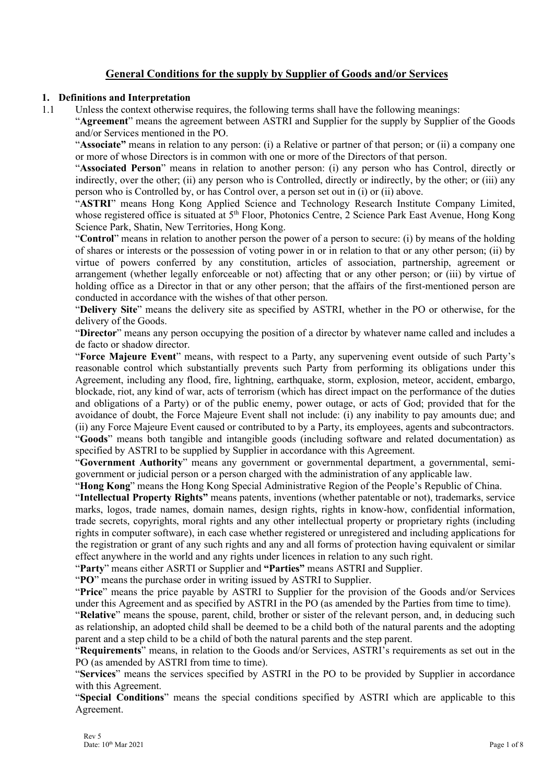# **General Conditions for the supply by Supplier of Goods and/or Services**

### **1. Definitions and Interpretation**

1.1 Unless the context otherwise requires, the following terms shall have the following meanings:

"**Agreement**" means the agreement between ASTRI and Supplier for the supply by Supplier of the Goods and/or Services mentioned in the PO.

"**Associate"** means in relation to any person: (i) a Relative or partner of that person; or (ii) a company one or more of whose Directors is in common with one or more of the Directors of that person.

"**Associated Person**" means in relation to another person: (i) any person who has Control, directly or indirectly, over the other; (ii) any person who is Controlled, directly or indirectly, by the other; or (iii) any person who is Controlled by, or has Control over, a person set out in (i) or (ii) above.

"**ASTRI**" means Hong Kong Applied Science and Technology Research Institute Company Limited, whose registered office is situated at 5<sup>th</sup> Floor, Photonics Centre, 2 Science Park East Avenue, Hong Kong Science Park, Shatin, New Territories, Hong Kong.

"**Control**" means in relation to another person the power of a person to secure: (i) by means of the holding of shares or interests or the possession of voting power in or in relation to that or any other person; (ii) by virtue of powers conferred by any constitution, articles of association, partnership, agreement or arrangement (whether legally enforceable or not) affecting that or any other person; or (iii) by virtue of holding office as a Director in that or any other person; that the affairs of the first-mentioned person are conducted in accordance with the wishes of that other person.

"**Delivery Site**" means the delivery site as specified by ASTRI, whether in the PO or otherwise, for the delivery of the Goods.

"**Director**" means any person occupying the position of a director by whatever name called and includes a de facto or shadow director.

"**Force Majeure Event**" means, with respect to a Party, any supervening event outside of such Party's reasonable control which substantially prevents such Party from performing its obligations under this Agreement, including any flood, fire, lightning, earthquake, storm, explosion, meteor, accident, embargo, blockade, riot, any kind of war, acts of terrorism (which has direct impact on the performance of the duties and obligations of a Party) or of the public enemy, power outage, or acts of God; provided that for the avoidance of doubt, the Force Majeure Event shall not include: (i) any inability to pay amounts due; and (ii) any Force Majeure Event caused or contributed to by a Party, its employees, agents and subcontractors. "**Goods**" means both tangible and intangible goods (including software and related documentation) as specified by ASTRI to be supplied by Supplier in accordance with this Agreement.

"**Government Authority**" means any government or governmental department, a governmental, semigovernment or judicial person or a person charged with the administration of any applicable law.

"**Hong Kong**" means the Hong Kong Special Administrative Region of the People's Republic of China.

"**Intellectual Property Rights"** means patents, inventions (whether patentable or not), trademarks, service marks, logos, trade names, domain names, design rights, rights in know-how, confidential information, trade secrets, copyrights, moral rights and any other intellectual property or proprietary rights (including rights in computer software), in each case whether registered or unregistered and including applications for the registration or grant of any such rights and any and all forms of protection having equivalent or similar effect anywhere in the world and any rights under licences in relation to any such right.

"**Party**" means either ASRTI or Supplier and **"Parties"** means ASTRI and Supplier.

"**PO**" means the purchase order in writing issued by ASTRI to Supplier.

"**Price**" means the price payable by ASTRI to Supplier for the provision of the Goods and/or Services under this Agreement and as specified by ASTRI in the PO (as amended by the Parties from time to time).

"**Relative**" means the spouse, parent, child, brother or sister of the relevant person, and, in deducing such as relationship, an adopted child shall be deemed to be a child both of the natural parents and the adopting parent and a step child to be a child of both the natural parents and the step parent.

"**Requirements**" means, in relation to the Goods and/or Services, ASTRI's requirements as set out in the PO (as amended by ASTRI from time to time).

"**Services**" means the services specified by ASTRI in the PO to be provided by Supplier in accordance with this Agreement.

"**Special Conditions**" means the special conditions specified by ASTRI which are applicable to this Agreement.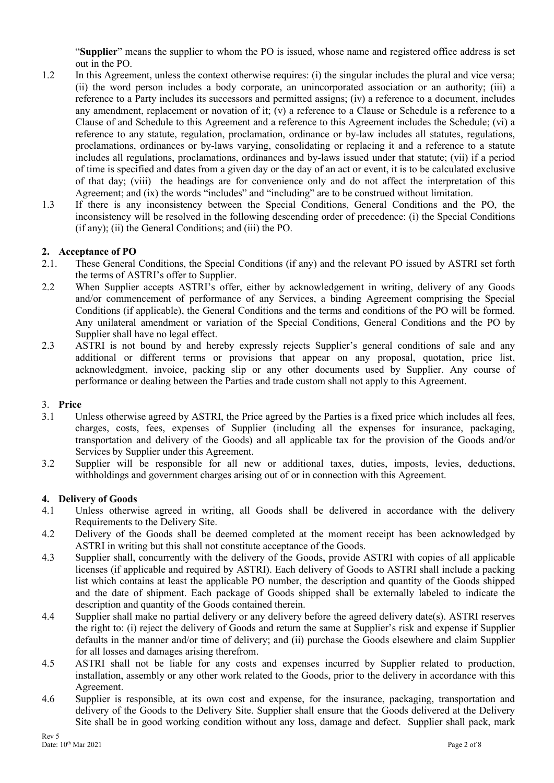"**Supplier**" means the supplier to whom the PO is issued, whose name and registered office address is set out in the PO.

- 1.2 In this Agreement, unless the context otherwise requires: (i) the singular includes the plural and vice versa; (ii) the word person includes a body corporate, an unincorporated association or an authority; (iii) a reference to a Party includes its successors and permitted assigns; (iv) a reference to a document, includes any amendment, replacement or novation of it;  $(v)$  a reference to a Clause or Schedule is a reference to a Clause of and Schedule to this Agreement and a reference to this Agreement includes the Schedule; (vi) a reference to any statute, regulation, proclamation, ordinance or by-law includes all statutes, regulations, proclamations, ordinances or by-laws varying, consolidating or replacing it and a reference to a statute includes all regulations, proclamations, ordinances and by-laws issued under that statute; (vii) if a period of time is specified and dates from a given day or the day of an act or event, it is to be calculated exclusive of that day; (viii) the headings are for convenience only and do not affect the interpretation of this Agreement; and (ix) the words "includes" and "including" are to be construed without limitation.
- 1.3 If there is any inconsistency between the Special Conditions, General Conditions and the PO, the inconsistency will be resolved in the following descending order of precedence: (i) the Special Conditions (if any); (ii) the General Conditions; and (iii) the PO.

## **2. Acceptance of PO**

- 2.1. These General Conditions, the Special Conditions (if any) and the relevant PO issued by ASTRI set forth the terms of ASTRI's offer to Supplier.
- 2.2 When Supplier accepts ASTRI's offer, either by acknowledgement in writing, delivery of any Goods and/or commencement of performance of any Services, a binding Agreement comprising the Special Conditions (if applicable), the General Conditions and the terms and conditions of the PO will be formed. Any unilateral amendment or variation of the Special Conditions, General Conditions and the PO by Supplier shall have no legal effect.
- 2.3 ASTRI is not bound by and hereby expressly rejects Supplier's general conditions of sale and any additional or different terms or provisions that appear on any proposal, quotation, price list, acknowledgment, invoice, packing slip or any other documents used by Supplier. Any course of performance or dealing between the Parties and trade custom shall not apply to this Agreement.

### 3. **Price**

- 3.1 Unless otherwise agreed by ASTRI, the Price agreed by the Parties is a fixed price which includes all fees, charges, costs, fees, expenses of Supplier (including all the expenses for insurance, packaging, transportation and delivery of the Goods) and all applicable tax for the provision of the Goods and/or Services by Supplier under this Agreement.
- 3.2 Supplier will be responsible for all new or additional taxes, duties, imposts, levies, deductions, withholdings and government charges arising out of or in connection with this Agreement.

### **4. Delivery of Goods**

- 4.1 Unless otherwise agreed in writing, all Goods shall be delivered in accordance with the delivery Requirements to the Delivery Site.
- 4.2 Delivery of the Goods shall be deemed completed at the moment receipt has been acknowledged by ASTRI in writing but this shall not constitute acceptance of the Goods.
- 4.3 Supplier shall, concurrently with the delivery of the Goods, provide ASTRI with copies of all applicable licenses (if applicable and required by ASTRI). Each delivery of Goods to ASTRI shall include a packing list which contains at least the applicable PO number, the description and quantity of the Goods shipped and the date of shipment. Each package of Goods shipped shall be externally labeled to indicate the description and quantity of the Goods contained therein.
- 4.4 Supplier shall make no partial delivery or any delivery before the agreed delivery date(s). ASTRI reserves the right to: (i) reject the delivery of Goods and return the same at Supplier's risk and expense if Supplier defaults in the manner and/or time of delivery; and (ii) purchase the Goods elsewhere and claim Supplier for all losses and damages arising therefrom.
- 4.5 ASTRI shall not be liable for any costs and expenses incurred by Supplier related to production, installation, assembly or any other work related to the Goods, prior to the delivery in accordance with this Agreement.
- 4.6 Supplier is responsible, at its own cost and expense, for the insurance, packaging, transportation and delivery of the Goods to the Delivery Site. Supplier shall ensure that the Goods delivered at the Delivery Site shall be in good working condition without any loss, damage and defect. Supplier shall pack, mark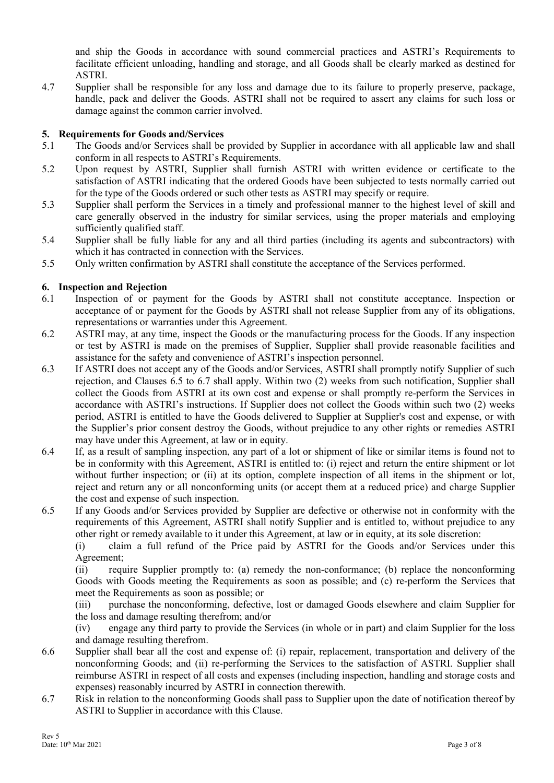and ship the Goods in accordance with sound commercial practices and ASTRI's Requirements to facilitate efficient unloading, handling and storage, and all Goods shall be clearly marked as destined for ASTRI.

4.7 Supplier shall be responsible for any loss and damage due to its failure to properly preserve, package, handle, pack and deliver the Goods. ASTRI shall not be required to assert any claims for such loss or damage against the common carrier involved.

## **5. Requirements for Goods and/Services**

- 5.1 The Goods and/or Services shall be provided by Supplier in accordance with all applicable law and shall conform in all respects to ASTRI's Requirements.
- 5.2 Upon request by ASTRI, Supplier shall furnish ASTRI with written evidence or certificate to the satisfaction of ASTRI indicating that the ordered Goods have been subjected to tests normally carried out for the type of the Goods ordered or such other tests as ASTRI may specify or require.
- 5.3 Supplier shall perform the Services in a timely and professional manner to the highest level of skill and care generally observed in the industry for similar services, using the proper materials and employing sufficiently qualified staff.
- 5.4 Supplier shall be fully liable for any and all third parties (including its agents and subcontractors) with which it has contracted in connection with the Services.
- 5.5 Only written confirmation by ASTRI shall constitute the acceptance of the Services performed.

## **6. Inspection and Rejection**

- 6.1 Inspection of or payment for the Goods by ASTRI shall not constitute acceptance. Inspection or acceptance of or payment for the Goods by ASTRI shall not release Supplier from any of its obligations, representations or warranties under this Agreement.
- 6.2 ASTRI may, at any time, inspect the Goods or the manufacturing process for the Goods. If any inspection or test by ASTRI is made on the premises of Supplier, Supplier shall provide reasonable facilities and assistance for the safety and convenience of ASTRI's inspection personnel.
- 6.3 If ASTRI does not accept any of the Goods and/or Services, ASTRI shall promptly notify Supplier of such rejection, and Clauses 6.5 to 6.7 shall apply. Within two (2) weeks from such notification, Supplier shall collect the Goods from ASTRI at its own cost and expense or shall promptly re-perform the Services in accordance with ASTRI's instructions. If Supplier does not collect the Goods within such two (2) weeks period, ASTRI is entitled to have the Goods delivered to Supplier at Supplier's cost and expense, or with the Supplier's prior consent destroy the Goods, without prejudice to any other rights or remedies ASTRI may have under this Agreement, at law or in equity.
- 6.4 If, as a result of sampling inspection, any part of a lot or shipment of like or similar items is found not to be in conformity with this Agreement, ASTRI is entitled to: (i) reject and return the entire shipment or lot without further inspection; or (ii) at its option, complete inspection of all items in the shipment or lot, reject and return any or all nonconforming units (or accept them at a reduced price) and charge Supplier the cost and expense of such inspection.
- 6.5 If any Goods and/or Services provided by Supplier are defective or otherwise not in conformity with the requirements of this Agreement, ASTRI shall notify Supplier and is entitled to, without prejudice to any other right or remedy available to it under this Agreement, at law or in equity, at its sole discretion:

(i) claim a full refund of the Price paid by ASTRI for the Goods and/or Services under this Agreement;

(ii) require Supplier promptly to: (a) remedy the non-conformance; (b) replace the nonconforming Goods with Goods meeting the Requirements as soon as possible; and (c) re-perform the Services that meet the Requirements as soon as possible; or

(iii) purchase the nonconforming, defective, lost or damaged Goods elsewhere and claim Supplier for the loss and damage resulting therefrom; and/or

(iv) engage any third party to provide the Services (in whole or in part) and claim Supplier for the loss and damage resulting therefrom.

- 6.6 Supplier shall bear all the cost and expense of: (i) repair, replacement, transportation and delivery of the nonconforming Goods; and (ii) re-performing the Services to the satisfaction of ASTRI. Supplier shall reimburse ASTRI in respect of all costs and expenses (including inspection, handling and storage costs and expenses) reasonably incurred by ASTRI in connection therewith.
- 6.7 Risk in relation to the nonconforming Goods shall pass to Supplier upon the date of notification thereof by ASTRI to Supplier in accordance with this Clause.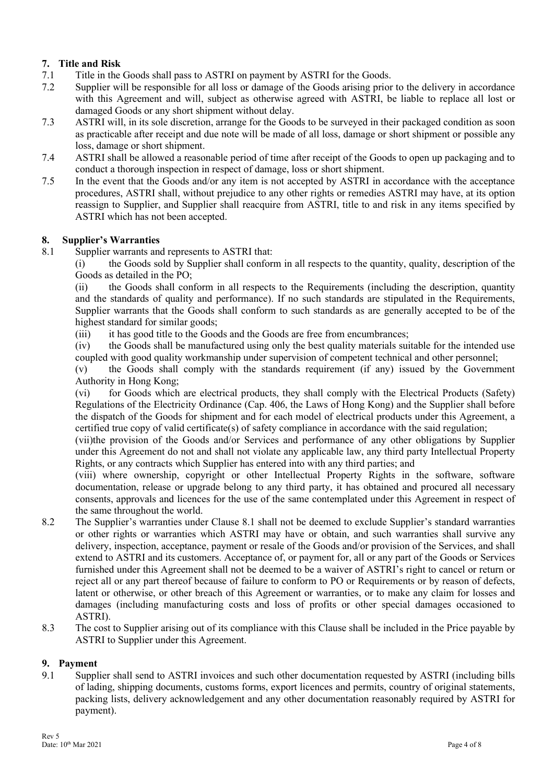# **7. Title and Risk**

- 7.1 Title in the Goods shall pass to ASTRI on payment by ASTRI for the Goods.
- 7.2 Supplier will be responsible for all loss or damage of the Goods arising prior to the delivery in accordance with this Agreement and will, subject as otherwise agreed with ASTRI, be liable to replace all lost or damaged Goods or any short shipment without delay.
- 7.3 ASTRI will, in its sole discretion, arrange for the Goods to be surveyed in their packaged condition as soon as practicable after receipt and due note will be made of all loss, damage or short shipment or possible any loss, damage or short shipment.
- 7.4 ASTRI shall be allowed a reasonable period of time after receipt of the Goods to open up packaging and to conduct a thorough inspection in respect of damage, loss or short shipment.
- 7.5 In the event that the Goods and/or any item is not accepted by ASTRI in accordance with the acceptance procedures, ASTRI shall, without prejudice to any other rights or remedies ASTRI may have, at its option reassign to Supplier, and Supplier shall reacquire from ASTRI, title to and risk in any items specified by ASTRI which has not been accepted.

## **8. Supplier's Warranties**

8.1 Supplier warrants and represents to ASTRI that:

(i) the Goods sold by Supplier shall conform in all respects to the quantity, quality, description of the Goods as detailed in the PO;

(ii) the Goods shall conform in all respects to the Requirements (including the description, quantity and the standards of quality and performance). If no such standards are stipulated in the Requirements, Supplier warrants that the Goods shall conform to such standards as are generally accepted to be of the highest standard for similar goods;

(iii) it has good title to the Goods and the Goods are free from encumbrances;

(iv) the Goods shall be manufactured using only the best quality materials suitable for the intended use coupled with good quality workmanship under supervision of competent technical and other personnel;

(v) the Goods shall comply with the standards requirement (if any) issued by the Government Authority in Hong Kong;

(vi) for Goods which are electrical products, they shall comply with the Electrical Products (Safety) Regulations of the Electricity Ordinance (Cap. 406, the Laws of Hong Kong) and the Supplier shall before the dispatch of the Goods for shipment and for each model of electrical products under this Agreement, a certified true copy of valid certificate(s) of safety compliance in accordance with the said regulation;

(vii)the provision of the Goods and/or Services and performance of any other obligations by Supplier under this Agreement do not and shall not violate any applicable law, any third party Intellectual Property Rights, or any contracts which Supplier has entered into with any third parties; and

(viii) where ownership, copyright or other Intellectual Property Rights in the software, software documentation, release or upgrade belong to any third party, it has obtained and procured all necessary consents, approvals and licences for the use of the same contemplated under this Agreement in respect of the same throughout the world.

- 8.2 The Supplier's warranties under Clause 8.1 shall not be deemed to exclude Supplier's standard warranties or other rights or warranties which ASTRI may have or obtain, and such warranties shall survive any delivery, inspection, acceptance, payment or resale of the Goods and/or provision of the Services, and shall extend to ASTRI and its customers. Acceptance of, or payment for, all or any part of the Goods or Services furnished under this Agreement shall not be deemed to be a waiver of ASTRI's right to cancel or return or reject all or any part thereof because of failure to conform to PO or Requirements or by reason of defects, latent or otherwise, or other breach of this Agreement or warranties, or to make any claim for losses and damages (including manufacturing costs and loss of profits or other special damages occasioned to ASTRI).
- 8.3 The cost to Supplier arising out of its compliance with this Clause shall be included in the Price payable by ASTRI to Supplier under this Agreement.

## **9. Payment**

9.1 Supplier shall send to ASTRI invoices and such other documentation requested by ASTRI (including bills of lading, shipping documents, customs forms, export licences and permits, country of original statements, packing lists, delivery acknowledgement and any other documentation reasonably required by ASTRI for payment).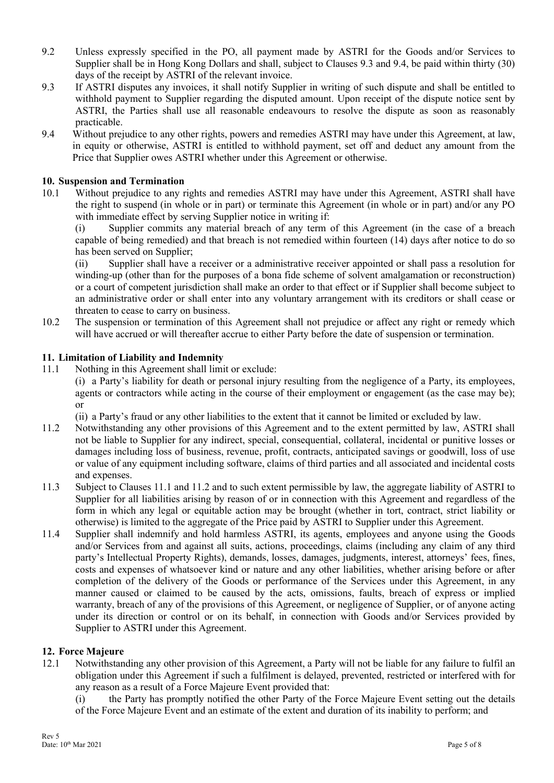- 9.2 Unless expressly specified in the PO, all payment made by ASTRI for the Goods and/or Services to Supplier shall be in Hong Kong Dollars and shall, subject to Clauses 9.3 and 9.4, be paid within thirty (30) days of the receipt by ASTRI of the relevant invoice.
- 9.3 If ASTRI disputes any invoices, it shall notify Supplier in writing of such dispute and shall be entitled to withhold payment to Supplier regarding the disputed amount. Upon receipt of the dispute notice sent by ASTRI, the Parties shall use all reasonable endeavours to resolve the dispute as soon as reasonably practicable.
- 9.4 Without prejudice to any other rights, powers and remedies ASTRI may have under this Agreement, at law, in equity or otherwise, ASTRI is entitled to withhold payment, set off and deduct any amount from the Price that Supplier owes ASTRI whether under this Agreement or otherwise.

## **10. Suspension and Termination**

10.1 Without prejudice to any rights and remedies ASTRI may have under this Agreement, ASTRI shall have the right to suspend (in whole or in part) or terminate this Agreement (in whole or in part) and/or any PO with immediate effect by serving Supplier notice in writing if:

(i) Supplier commits any material breach of any term of this Agreement (in the case of a breach capable of being remedied) and that breach is not remedied within fourteen (14) days after notice to do so has been served on Supplier;

(ii) Supplier shall have a receiver or a administrative receiver appointed or shall pass a resolution for winding-up (other than for the purposes of a bona fide scheme of solvent amalgamation or reconstruction) or a court of competent jurisdiction shall make an order to that effect or if Supplier shall become subject to an administrative order or shall enter into any voluntary arrangement with its creditors or shall cease or threaten to cease to carry on business.

10.2 The suspension or termination of this Agreement shall not prejudice or affect any right or remedy which will have accrued or will thereafter accrue to either Party before the date of suspension or termination.

### **11. Limitation of Liability and Indemnity**

- 11.1 Nothing in this Agreement shall limit or exclude:
	- (i) a Party's liability for death or personal injury resulting from the negligence of a Party, its employees, agents or contractors while acting in the course of their employment or engagement (as the case may be); or

(ii) a Party's fraud or any other liabilities to the extent that it cannot be limited or excluded by law.

- 11.2 Notwithstanding any other provisions of this Agreement and to the extent permitted by law, ASTRI shall not be liable to Supplier for any indirect, special, consequential, collateral, incidental or punitive losses or damages including loss of business, revenue, profit, contracts, anticipated savings or goodwill, loss of use or value of any equipment including software, claims of third parties and all associated and incidental costs and expenses.
- 11.3 Subject to Clauses 11.1 and 11.2 and to such extent permissible by law, the aggregate liability of ASTRI to Supplier for all liabilities arising by reason of or in connection with this Agreement and regardless of the form in which any legal or equitable action may be brought (whether in tort, contract, strict liability or otherwise) is limited to the aggregate of the Price paid by ASTRI to Supplier under this Agreement.
- 11.4 Supplier shall indemnify and hold harmless ASTRI, its agents, employees and anyone using the Goods and/or Services from and against all suits, actions, proceedings, claims (including any claim of any third party's Intellectual Property Rights), demands, losses, damages, judgments, interest, attorneys' fees, fines, costs and expenses of whatsoever kind or nature and any other liabilities, whether arising before or after completion of the delivery of the Goods or performance of the Services under this Agreement, in any manner caused or claimed to be caused by the acts, omissions, faults, breach of express or implied warranty, breach of any of the provisions of this Agreement, or negligence of Supplier, or of anyone acting under its direction or control or on its behalf, in connection with Goods and/or Services provided by Supplier to ASTRI under this Agreement.

### **12. Force Majeure**

12.1 Notwithstanding any other provision of this Agreement, a Party will not be liable for any failure to fulfil an obligation under this Agreement if such a fulfilment is delayed, prevented, restricted or interfered with for any reason as a result of a Force Majeure Event provided that:

(i) the Party has promptly notified the other Party of the Force Majeure Event setting out the details of the Force Majeure Event and an estimate of the extent and duration of its inability to perform; and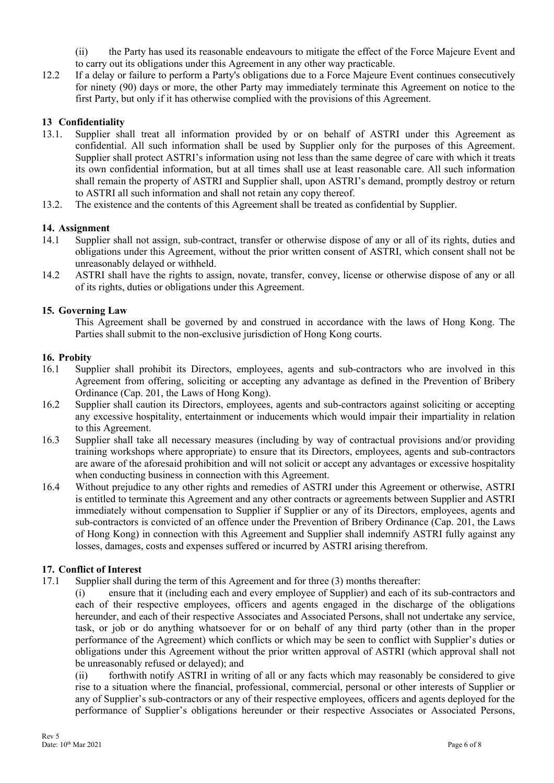(ii) the Party has used its reasonable endeavours to mitigate the effect of the Force Majeure Event and to carry out its obligations under this Agreement in any other way practicable.

12.2 If a delay or failure to perform a Party's obligations due to a Force Majeure Event continues consecutively for ninety (90) days or more, the other Party may immediately terminate this Agreement on notice to the first Party, but only if it has otherwise complied with the provisions of this Agreement.

## **13 Confidentiality**

- 13.1. Supplier shall treat all information provided by or on behalf of ASTRI under this Agreement as confidential. All such information shall be used by Supplier only for the purposes of this Agreement. Supplier shall protect ASTRI's information using not less than the same degree of care with which it treats its own confidential information, but at all times shall use at least reasonable care. All such information shall remain the property of ASTRI and Supplier shall, upon ASTRI's demand, promptly destroy or return to ASTRI all such information and shall not retain any copy thereof.
- 13.2. The existence and the contents of this Agreement shall be treated as confidential by Supplier.

## **14. Assignment**

- 14.1 Supplier shall not assign, sub-contract, transfer or otherwise dispose of any or all of its rights, duties and obligations under this Agreement, without the prior written consent of ASTRI, which consent shall not be unreasonably delayed or withheld.
- 14.2 ASTRI shall have the rights to assign, novate, transfer, convey, license or otherwise dispose of any or all of its rights, duties or obligations under this Agreement.

## **15. Governing Law**

This Agreement shall be governed by and construed in accordance with the laws of Hong Kong. The Parties shall submit to the non-exclusive jurisdiction of Hong Kong courts.

### **16. Probity**

- 16.1 Supplier shall prohibit its Directors, employees, agents and sub-contractors who are involved in this Agreement from offering, soliciting or accepting any advantage as defined in the Prevention of Bribery Ordinance (Cap. 201, the Laws of Hong Kong).
- 16.2 Supplier shall caution its Directors, employees, agents and sub-contractors against soliciting or accepting any excessive hospitality, entertainment or inducements which would impair their impartiality in relation to this Agreement.
- 16.3 Supplier shall take all necessary measures (including by way of contractual provisions and/or providing training workshops where appropriate) to ensure that its Directors, employees, agents and sub-contractors are aware of the aforesaid prohibition and will not solicit or accept any advantages or excessive hospitality when conducting business in connection with this Agreement.
- 16.4 Without prejudice to any other rights and remedies of ASTRI under this Agreement or otherwise, ASTRI is entitled to terminate this Agreement and any other contracts or agreements between Supplier and ASTRI immediately without compensation to Supplier if Supplier or any of its Directors, employees, agents and sub-contractors is convicted of an offence under the Prevention of Bribery Ordinance (Cap. 201, the Laws of Hong Kong) in connection with this Agreement and Supplier shall indemnify ASTRI fully against any losses, damages, costs and expenses suffered or incurred by ASTRI arising therefrom.

### **17. Conflict of Interest**

17.1 Supplier shall during the term of this Agreement and for three (3) months thereafter:

(i) ensure that it (including each and every employee of Supplier) and each of its sub-contractors and each of their respective employees, officers and agents engaged in the discharge of the obligations hereunder, and each of their respective Associates and Associated Persons, shall not undertake any service, task, or job or do anything whatsoever for or on behalf of any third party (other than in the proper performance of the Agreement) which conflicts or which may be seen to conflict with Supplier's duties or obligations under this Agreement without the prior written approval of ASTRI (which approval shall not be unreasonably refused or delayed); and

(ii) forthwith notify ASTRI in writing of all or any facts which may reasonably be considered to give rise to a situation where the financial, professional, commercial, personal or other interests of Supplier or any of Supplier's sub-contractors or any of their respective employees, officers and agents deployed for the performance of Supplier's obligations hereunder or their respective Associates or Associated Persons,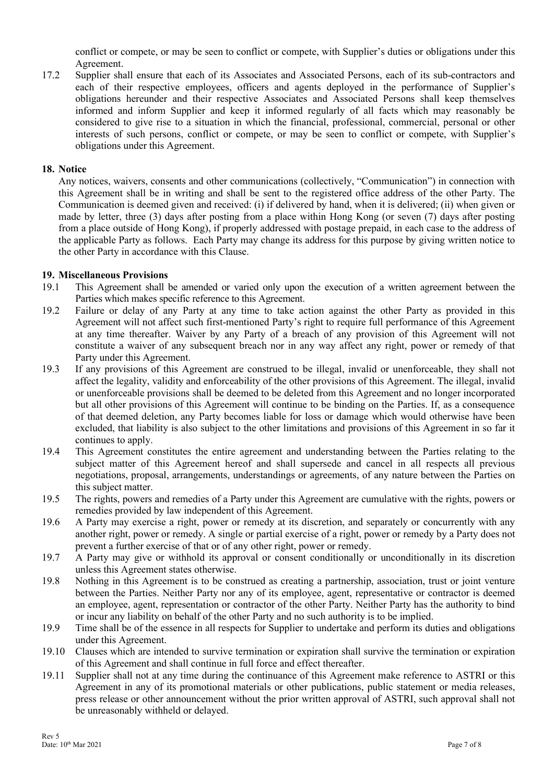conflict or compete, or may be seen to conflict or compete, with Supplier's duties or obligations under this Agreement.

17.2 Supplier shall ensure that each of its Associates and Associated Persons, each of its sub-contractors and each of their respective employees, officers and agents deployed in the performance of Supplier's obligations hereunder and their respective Associates and Associated Persons shall keep themselves informed and inform Supplier and keep it informed regularly of all facts which may reasonably be considered to give rise to a situation in which the financial, professional, commercial, personal or other interests of such persons, conflict or compete, or may be seen to conflict or compete, with Supplier's obligations under this Agreement.

### **18. Notice**

Any notices, waivers, consents and other communications (collectively, "Communication") in connection with this Agreement shall be in writing and shall be sent to the registered office address of the other Party. The Communication is deemed given and received: (i) if delivered by hand, when it is delivered; (ii) when given or made by letter, three (3) days after posting from a place within Hong Kong (or seven (7) days after posting from a place outside of Hong Kong), if properly addressed with postage prepaid, in each case to the address of the applicable Party as follows. Each Party may change its address for this purpose by giving written notice to the other Party in accordance with this Clause.

### **19. Miscellaneous Provisions**

- 19.1 This Agreement shall be amended or varied only upon the execution of a written agreement between the Parties which makes specific reference to this Agreement.
- 19.2 Failure or delay of any Party at any time to take action against the other Party as provided in this Agreement will not affect such first-mentioned Party's right to require full performance of this Agreement at any time thereafter. Waiver by any Party of a breach of any provision of this Agreement will not constitute a waiver of any subsequent breach nor in any way affect any right, power or remedy of that Party under this Agreement.
- 19.3 If any provisions of this Agreement are construed to be illegal, invalid or unenforceable, they shall not affect the legality, validity and enforceability of the other provisions of this Agreement. The illegal, invalid or unenforceable provisions shall be deemed to be deleted from this Agreement and no longer incorporated but all other provisions of this Agreement will continue to be binding on the Parties. If, as a consequence of that deemed deletion, any Party becomes liable for loss or damage which would otherwise have been excluded, that liability is also subject to the other limitations and provisions of this Agreement in so far it continues to apply.
- 19.4 This Agreement constitutes the entire agreement and understanding between the Parties relating to the subject matter of this Agreement hereof and shall supersede and cancel in all respects all previous negotiations, proposal, arrangements, understandings or agreements, of any nature between the Parties on this subject matter.
- 19.5 The rights, powers and remedies of a Party under this Agreement are cumulative with the rights, powers or remedies provided by law independent of this Agreement.
- 19.6 A Party may exercise a right, power or remedy at its discretion, and separately or concurrently with any another right, power or remedy. A single or partial exercise of a right, power or remedy by a Party does not prevent a further exercise of that or of any other right, power or remedy.
- 19.7 A Party may give or withhold its approval or consent conditionally or unconditionally in its discretion unless this Agreement states otherwise.
- 19.8 Nothing in this Agreement is to be construed as creating a partnership, association, trust or joint venture between the Parties. Neither Party nor any of its employee, agent, representative or contractor is deemed an employee, agent, representation or contractor of the other Party. Neither Party has the authority to bind or incur any liability on behalf of the other Party and no such authority is to be implied.
- 19.9 Time shall be of the essence in all respects for Supplier to undertake and perform its duties and obligations under this Agreement.
- 19.10 Clauses which are intended to survive termination or expiration shall survive the termination or expiration of this Agreement and shall continue in full force and effect thereafter.
- 19.11 Supplier shall not at any time during the continuance of this Agreement make reference to ASTRI or this Agreement in any of its promotional materials or other publications, public statement or media releases, press release or other announcement without the prior written approval of ASTRI, such approval shall not be unreasonably withheld or delayed.